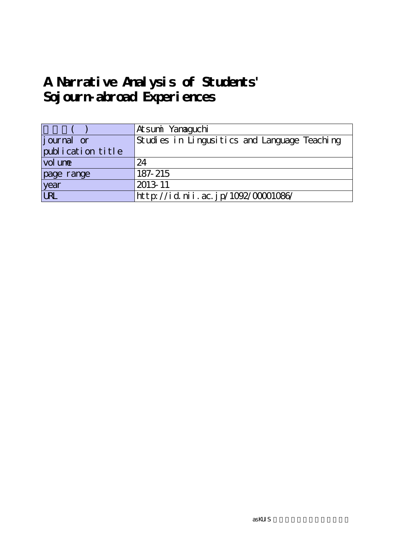# **A Narrative Analysis of Students' Sojourn-abroad Experiences**

|                   | Atsumi Yanaaguchi                            |
|-------------------|----------------------------------------------|
| journal or        | Studies in Lingusitics and Language Teaching |
| publication title |                                              |
| vol une           | 24                                           |
| page range        | 187-215                                      |
| year<br>URL       | 2013-11                                      |
|                   | http://id.nii.ac.jp/1092/00001086/           |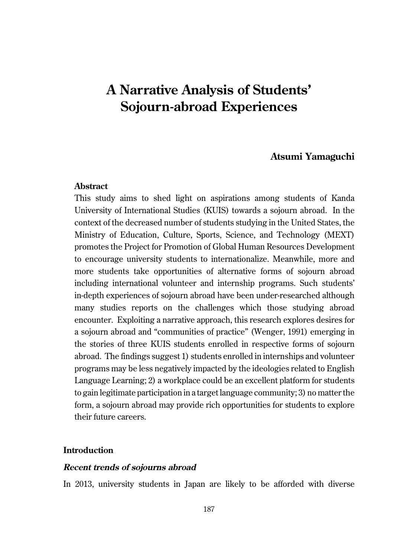# **A Narrative Analysis of Students' Sojourn-abroad Experiences**

# **Atsumi Yamaguchi**

# **Abstract**

This study aims to shed light on aspirations among students of Kanda University of International Studies (KUIS) towards a sojourn abroad. In the context of the decreased number of students studying in the United States, the Ministry of Education, Culture, Sports, Science, and Technology (MEXT) promotes the Project for Promotion of Global Human Resources Development to encourage university students to internationalize. Meanwhile, more and more students take opportunities of alternative forms of sojourn abroad including international volunteer and internship programs. Such students' in-depth experiences of sojourn abroad have been under-researched although many studies reports on the challenges which those studying abroad encounter. Exploiting a narrative approach, this research explores desires for a sojourn abroad and "communities of practice" (Wenger, 1991) emerging in the stories of three KUIS students enrolled in respective forms of sojourn abroad. The findings suggest 1) students enrolled in internships and volunteer programs may be less negatively impacted by the ideologies related to English Language Learning; 2) a workplace could be an excellent platform for students to gain legitimate participation in a target language community; 3) no matter the form, a sojourn abroad may provide rich opportunities for students to explore their future careers.

# **Introduction**

# **Recent trends of sojourns abroad**

In 2013, university students in Japan are likely to be afforded with diverse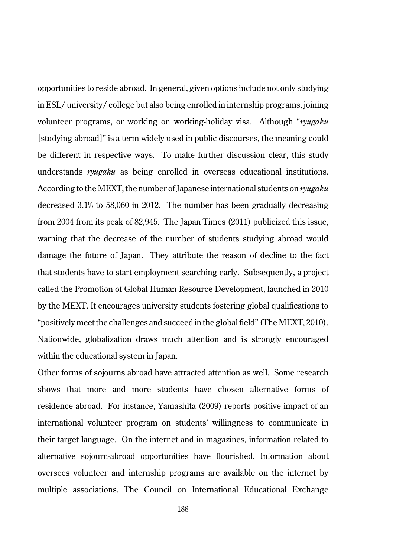opportunities to reside abroad. In general, given options include not only studying in ESL/ university/ college but also being enrolled in internship programs, joining volunteer programs, or working on working-holiday visa. Although "*ryugaku* [studying abroad]" is a term widely used in public discourses, the meaning could be different in respective ways. To make further discussion clear, this study understands *ryugaku* as being enrolled in overseas educational institutions. According to the MEXT, the number of Japanese international students on *ryugaku* decreased 3.1% to 58,060 in 2012. The number has been gradually decreasing from 2004 from its peak of 82,945. The Japan Times (2011) publicized this issue, warning that the decrease of the number of students studying abroad would damage the future of Japan. They attribute the reason of decline to the fact that students have to start employment searching early. Subsequently, a project called the Promotion of Global Human Resource Development, launched in 2010 by the MEXT. It encourages university students fostering global qualifications to "positively meet the challenges and succeed in the global field" (The MEXT, 2010). Nationwide, globalization draws much attention and is strongly encouraged within the educational system in Japan.

Other forms of sojourns abroad have attracted attention as well. Some research shows that more and more students have chosen alternative forms of residence abroad. For instance, Yamashita (2009) reports positive impact of an international volunteer program on students' willingness to communicate in their target language. On the internet and in magazines, information related to alternative sojourn-abroad opportunities have flourished. Information about oversees volunteer and internship programs are available on the internet by multiple associations. The Council on International Educational Exchange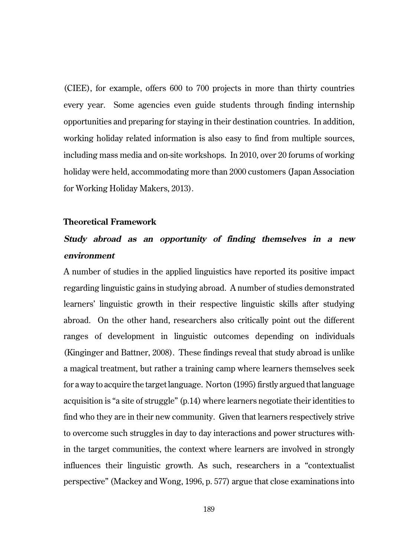(CIEE), for example, offers 600 to 700 projects in more than thirty countries every year. Some agencies even guide students through finding internship opportunities and preparing for staying in their destination countries. In addition, working holiday related information is also easy to find from multiple sources, including mass media and on-site workshops. In 2010, over 20 forums of working holiday were held, accommodating more than 2000 customers (Japan Association for Working Holiday Makers, 2013).

#### **Theoretical Framework**

# **Study abroad as an opportunity of finding themselves in a new environment**

A number of studies in the applied linguistics have reported its positive impact regarding linguistic gains in studying abroad. A number of studies demonstrated learners' linguistic growth in their respective linguistic skills after studying abroad. On the other hand, researchers also critically point out the different ranges of development in linguistic outcomes depending on individuals (Kinginger and Battner, 2008). These findings reveal that study abroad is unlike a magical treatment, but rather a training camp where learners themselves seek for a way to acquire the target language. Norton (1995) firstly argued that language acquisition is "a site of struggle" (p.14) where learners negotiate their identities to find who they are in their new community. Given that learners respectively strive to overcome such struggles in day to day interactions and power structures within the target communities, the context where learners are involved in strongly influences their linguistic growth. As such, researchers in a "contextualist perspective" (Mackey and Wong, 1996, p. 577) argue that close examinations into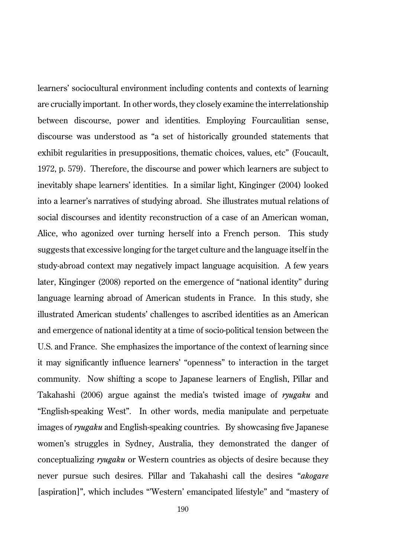learners' sociocultural environment including contents and contexts of learning are crucially important. In other words, they closely examine the interrelationship between discourse, power and identities. Employing Fourcaulitian sense, discourse was understood as "a set of historically grounded statements that exhibit regularities in presuppositions, thematic choices, values, etc" (Foucault, 1972, p. 579). Therefore, the discourse and power which learners are subject to inevitably shape learners' identities. In a similar light, Kinginger (2004) looked into a learner's narratives of studying abroad. She illustrates mutual relations of social discourses and identity reconstruction of a case of an American woman, Alice, who agonized over turning herself into a French person. This study suggests that excessive longing for the target culture and the language itself in the study-abroad context may negatively impact language acquisition. A few years later, Kinginger (2008) reported on the emergence of "national identity" during language learning abroad of American students in France. In this study, she illustrated American students' challenges to ascribed identities as an American and emergence of national identity at a time of socio-political tension between the U.S. and France. She emphasizes the importance of the context of learning since it may significantly influence learners' "openness" to interaction in the target community. Now shifting a scope to Japanese learners of English, Pillar and Takahashi (2006) argue against the media's twisted image of *ryugaku* and "English-speaking West". In other words, media manipulate and perpetuate images of *ryugaku* and English-speaking countries. By showcasing five Japanese women's struggles in Sydney, Australia, they demonstrated the danger of conceptualizing *ryugaku* or Western countries as objects of desire because they never pursue such desires. Pillar and Takahashi call the desires "*akogare* [aspiration]", which includes "'Western' emancipated lifestyle" and "mastery of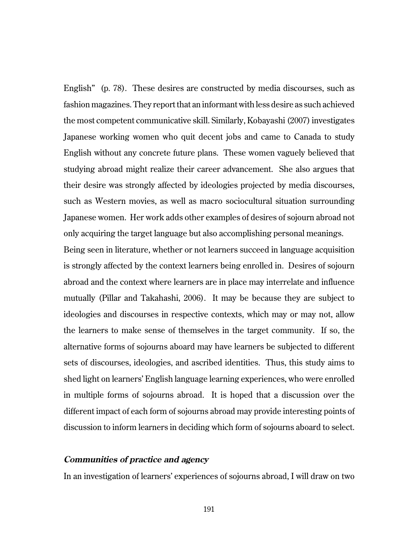English" (p. 78). These desires are constructed by media discourses, such as fashion magazines. They report that an informant with less desire as such achieved the most competent communicative skill. Similarly, Kobayashi (2007) investigates Japanese working women who quit decent jobs and came to Canada to study English without any concrete future plans. These women vaguely believed that studying abroad might realize their career advancement. She also argues that their desire was strongly affected by ideologies projected by media discourses, such as Western movies, as well as macro sociocultural situation surrounding Japanese women. Her work adds other examples of desires of sojourn abroad not only acquiring the target language but also accomplishing personal meanings.

Being seen in literature, whether or not learners succeed in language acquisition is strongly affected by the context learners being enrolled in. Desires of sojourn abroad and the context where learners are in place may interrelate and influence mutually (Pillar and Takahashi, 2006). It may be because they are subject to ideologies and discourses in respective contexts, which may or may not, allow the learners to make sense of themselves in the target community. If so, the alternative forms of sojourns aboard may have learners be subjected to different sets of discourses, ideologies, and ascribed identities. Thus, this study aims to shed light on learners' English language learning experiences, who were enrolled in multiple forms of sojourns abroad. It is hoped that a discussion over the different impact of each form of sojourns abroad may provide interesting points of discussion to inform learners in deciding which form of sojourns aboard to select.

### **Communities of practice and agency**

In an investigation of learners' experiences of sojourns abroad, I will draw on two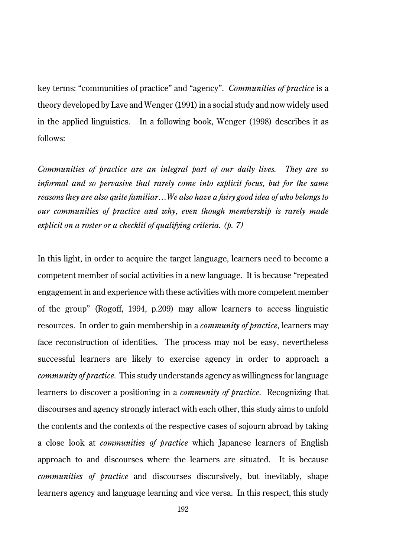key terms: "communities of practice" and "agency". *Communities of practice* is a theory developed by Lave and Wenger (1991) in a social study and now widely used in the applied linguistics. In a following book, Wenger (1998) describes it as follows:

*Communities of practice are an integral part of our daily lives. They are so informal and so pervasive that rarely come into explicit focus, but for the same reasons they are also quite familiar…We also have a fairy good idea of who belongs to our communities of practice and why, even though membership is rarely made explicit on a roster or a checklit of qualifying criteria. (p. 7)*

In this light, in order to acquire the target language, learners need to become a competent member of social activities in a new language. It is because "repeated engagement in and experience with these activities with more competent member of the group" (Rogoff, 1994, p.209) may allow learners to access linguistic resources. In order to gain membership in a *community of practice*, learners may face reconstruction of identities. The process may not be easy, nevertheless successful learners are likely to exercise agency in order to approach a *community of practice*. This study understands agency as willingness for language learners to discover a positioning in a *community of practice*. Recognizing that discourses and agency strongly interact with each other, this study aims to unfold the contents and the contexts of the respective cases of sojourn abroad by taking a close look at *communities of practice* which Japanese learners of English approach to and discourses where the learners are situated. It is because *communities of practice* and discourses discursively, but inevitably, shape learners agency and language learning and vice versa. In this respect, this study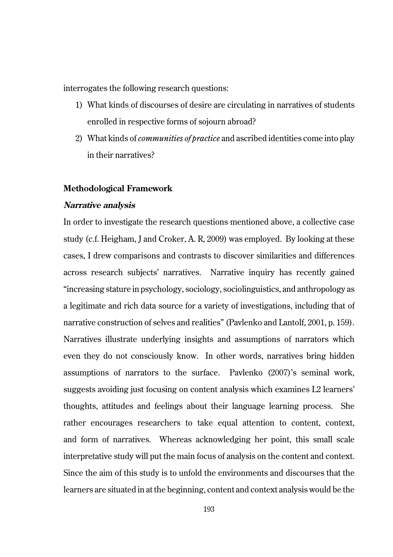interrogates the following research questions:

- 1) What kinds of discourses of desire are circulating in narratives of students enrolled in respective forms of sojourn abroad?
- 2) What kinds of *communities of practice* and ascribed identities come into play in their narratives?

# **Methodological Framework**

#### **Narrative analysis**

In order to investigate the research questions mentioned above, a collective case study (c.f. Heigham, J and Croker, A. R, 2009) was employed. By looking at these cases, I drew comparisons and contrasts to discover similarities and differences across research subjects' narratives. Narrative inquiry has recently gained "increasing stature in psychology, sociology, sociolinguistics, and anthropology as a legitimate and rich data source for a variety of investigations, including that of narrative construction of selves and realities" (Pavlenko and Lantolf, 2001, p. 159). Narratives illustrate underlying insights and assumptions of narrators which even they do not consciously know. In other words, narratives bring hidden assumptions of narrators to the surface. Pavlenko (2007)'s seminal work, suggests avoiding just focusing on content analysis which examines L2 learners' thoughts, attitudes and feelings about their language learning process. She rather encourages researchers to take equal attention to content, context, and form of narratives. Whereas acknowledging her point, this small scale interpretative study will put the main focus of analysis on the content and context. Since the aim of this study is to unfold the environments and discourses that the learners are situated in at the beginning, content and context analysis would be the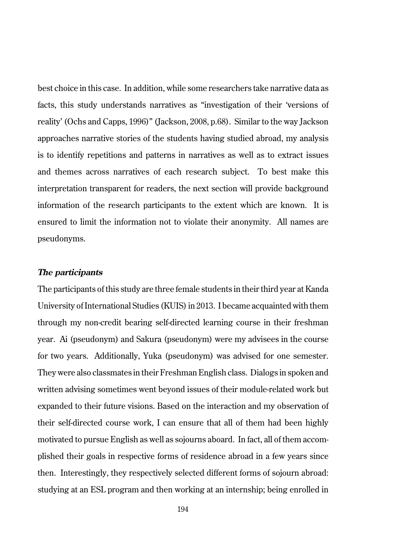best choice in this case. In addition, while some researchers take narrative data as facts, this study understands narratives as "investigation of their 'versions of reality' (Ochs and Capps, 1996)" (Jackson, 2008, p.68). Similar to the way Jackson approaches narrative stories of the students having studied abroad, my analysis is to identify repetitions and patterns in narratives as well as to extract issues and themes across narratives of each research subject. To best make this interpretation transparent for readers, the next section will provide background information of the research participants to the extent which are known. It is ensured to limit the information not to violate their anonymity. All names are pseudonyms.

## **The participants**

The participants of this study are three female students in their third year at Kanda University of International Studies (KUIS) in 2013. I became acquainted with them through my non-credit bearing self-directed learning course in their freshman year. Ai (pseudonym) and Sakura (pseudonym) were my advisees in the course for two years. Additionally, Yuka (pseudonym) was advised for one semester. They were also classmates in their Freshman English class. Dialogs in spoken and written advising sometimes went beyond issues of their module-related work but expanded to their future visions. Based on the interaction and my observation of their self-directed course work, I can ensure that all of them had been highly motivated to pursue English as well as sojourns aboard. In fact, all of them accomplished their goals in respective forms of residence abroad in a few years since then. Interestingly, they respectively selected different forms of sojourn abroad: studying at an ESL program and then working at an internship; being enrolled in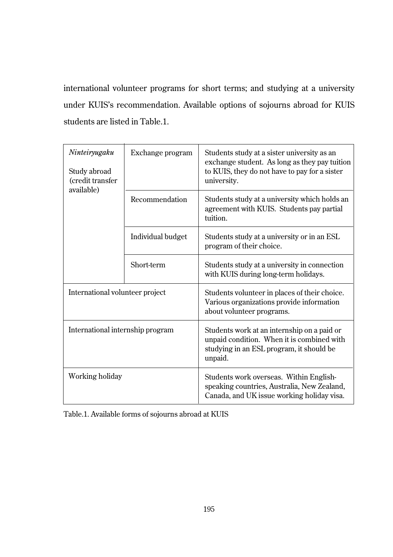international volunteer programs for short terms; and studying at a university under KUIS's recommendation. Available options of sojourns abroad for KUIS students are listed in Table.1.

| Ninteiryugaku<br>Study abroad<br>(credit transfer<br>available) | Exchange program  | Students study at a sister university as an<br>exchange student. As long as they pay tuition<br>to KUIS, they do not have to pay for a sister<br>university. |  |
|-----------------------------------------------------------------|-------------------|--------------------------------------------------------------------------------------------------------------------------------------------------------------|--|
|                                                                 | Recommendation    | Students study at a university which holds an<br>agreement with KUIS. Students pay partial<br>tuition.                                                       |  |
|                                                                 | Individual budget | Students study at a university or in an ESL<br>program of their choice.                                                                                      |  |
|                                                                 | Short-term        | Students study at a university in connection<br>with KUIS during long-term holidays.                                                                         |  |
| International volunteer project                                 |                   | Students volunteer in places of their choice.<br>Various organizations provide information<br>about volunteer programs.                                      |  |
| International internship program                                |                   | Students work at an internship on a paid or<br>unpaid condition. When it is combined with<br>studying in an ESL program, it should be<br>unpaid.             |  |
| Working holiday                                                 |                   | Students work overseas. Within English-<br>speaking countries, Australia, New Zealand,<br>Canada, and UK issue working holiday visa.                         |  |

Table.1. Available forms of sojourns abroad at KUIS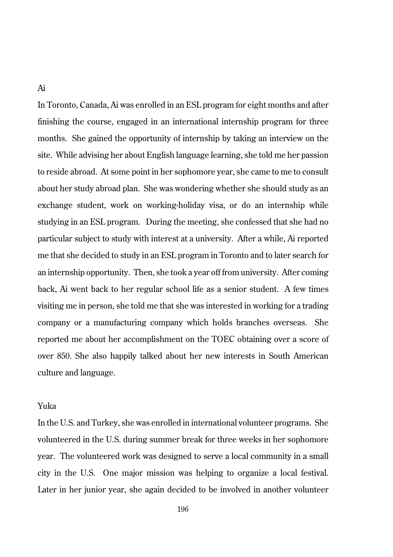# Ai

In Toronto, Canada, Ai was enrolled in an ESL program for eight months and after finishing the course, engaged in an international internship program for three months. She gained the opportunity of internship by taking an interview on the site. While advising her about English language learning, she told me her passion to reside abroad. At some point in her sophomore year, she came to me to consult about her study abroad plan. She was wondering whether she should study as an exchange student, work on working-holiday visa, or do an internship while studying in an ESL program. During the meeting, she confessed that she had no particular subject to study with interest at a university. After a while, Ai reported me that she decided to study in an ESL program in Toronto and to later search for an internship opportunity. Then, she took a year off from university. After coming back, Ai went back to her regular school life as a senior student. A few times visiting me in person, she told me that she was interested in working for a trading company or a manufacturing company which holds branches overseas. She reported me about her accomplishment on the TOEC obtaining over a score of over 850. She also happily talked about her new interests in South American culture and language.

# Yuka

In the U.S. and Turkey, she was enrolled in international volunteer programs. She volunteered in the U.S. during summer break for three weeks in her sophomore year. The volunteered work was designed to serve a local community in a small city in the U.S. One major mission was helping to organize a local festival. Later in her junior year, she again decided to be involved in another volunteer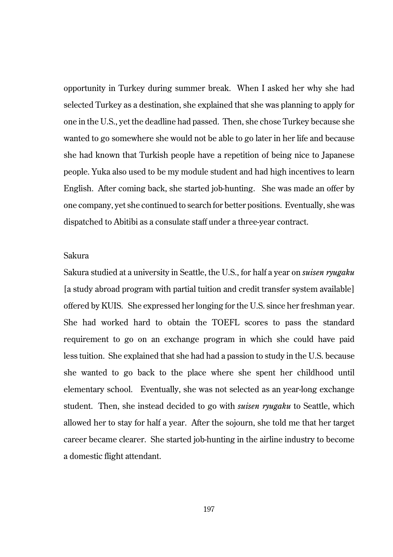opportunity in Turkey during summer break. When I asked her why she had selected Turkey as a destination, she explained that she was planning to apply for one in the U.S., yet the deadline had passed. Then, she chose Turkey because she wanted to go somewhere she would not be able to go later in her life and because she had known that Turkish people have a repetition of being nice to Japanese people. Yuka also used to be my module student and had high incentives to learn English. After coming back, she started job-hunting. She was made an offer by one company, yet she continued to search for better positions. Eventually, she was dispatched to Abitibi as a consulate staff under a three-year contract.

# Sakura

Sakura studied at a university in Seattle, the U.S., for half a year on *suisen ryugaku* [a study abroad program with partial tuition and credit transfer system available] offered by KUIS. She expressed her longing for the U.S. since her freshman year. She had worked hard to obtain the TOEFL scores to pass the standard requirement to go on an exchange program in which she could have paid less tuition. She explained that she had had a passion to study in the U.S. because she wanted to go back to the place where she spent her childhood until elementary school. Eventually, she was not selected as an year-long exchange student. Then, she instead decided to go with *suisen ryugaku* to Seattle, which allowed her to stay for half a year. After the sojourn, she told me that her target career became clearer. She started job-hunting in the airline industry to become a domestic flight attendant.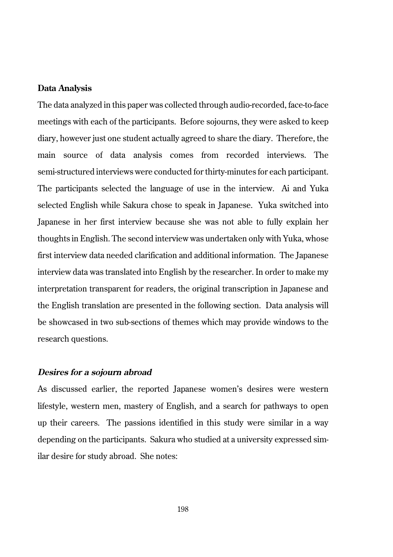#### **Data Analysis**

The data analyzed in this paper was collected through audio-recorded, face-to-face meetings with each of the participants. Before sojourns, they were asked to keep diary, however just one student actually agreed to share the diary. Therefore, the main source of data analysis comes from recorded interviews. The semi-structured interviews were conducted for thirty-minutes for each participant. The participants selected the language of use in the interview. Ai and Yuka selected English while Sakura chose to speak in Japanese. Yuka switched into Japanese in her first interview because she was not able to fully explain her thoughts in English. The second interview was undertaken only with Yuka, whose first interview data needed clarification and additional information. The Japanese interview data was translated into English by the researcher. In order to make my interpretation transparent for readers, the original transcription in Japanese and the English translation are presented in the following section. Data analysis will be showcased in two sub-sections of themes which may provide windows to the research questions.

#### **Desires for a sojourn abroad**

As discussed earlier, the reported Japanese women's desires were western lifestyle, western men, mastery of English, and a search for pathways to open up their careers. The passions identified in this study were similar in a way depending on the participants. Sakura who studied at a university expressed similar desire for study abroad. She notes: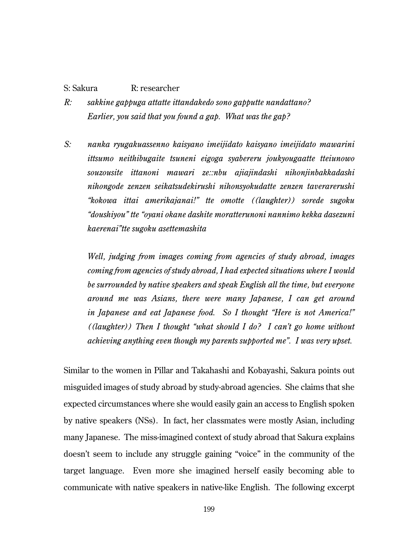# S: Sakura R: researcher

- *R: sakkine gappuga attatte ittandakedo sono gapputte nandattano? Earlier, you said that you found a gap. What was the gap?*
- *S: nanka ryugakuassenno kaisyano imeijidato kaisyano imeijidato mawarini ittsumo neithibugaite tsuneni eigoga syabereru joukyougaatte tteiunowo souzousite ittanoni mawari ze::nbu ajiajindashi nihonjinbakkadashi nihongode zenzen seikatsudekirushi nihonsyokudatte zenzen taverarerushi "kokowa ittai amerikajanai!" tte omotte ((laughter)) sorede sugoku "doushiyou" tte "oyani okane dashite moratterunoni nannimo kekka dasezuni kaerenai"tte sugoku asettemashita*

*Well, judging from images coming from agencies of study abroad, images coming from agencies of study abroad, I had expected situations where I would be surrounded by native speakers and speak English all the time, but everyone around me was Asians, there were many Japanese, I can get around in Japanese and eat Japanese food. So I thought "Here is not America!" ((laughter)) Then I thought "what should I do? I can't go home without achieving anything even though my parents supported me". I was very upset.*

Similar to the women in Pillar and Takahashi and Kobayashi, Sakura points out misguided images of study abroad by study-abroad agencies. She claims that she expected circumstances where she would easily gain an access to English spoken by native speakers (NSs). In fact, her classmates were mostly Asian, including many Japanese. The miss-imagined context of study abroad that Sakura explains doesn't seem to include any struggle gaining "voice" in the community of the target language. Even more she imagined herself easily becoming able to communicate with native speakers in native-like English. The following excerpt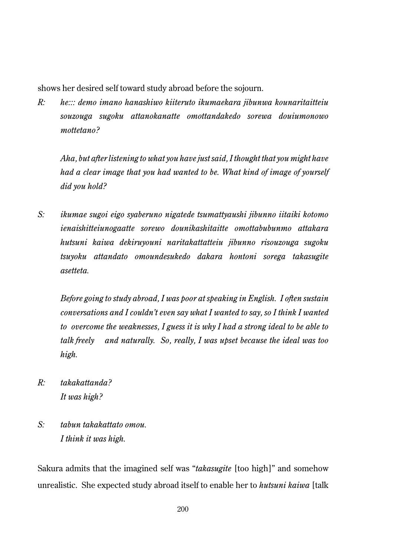shows her desired self toward study abroad before the sojourn.

*R: he::: demo imano hanashiwo kiiteruto ikumaekara jibunwa kounaritaitteiu souzouga sugoku attanokanatte omottandakedo sorewa douiumonowo mottetano?*

*Aha, but after listening to what you have just said, I thought that you might have had a clear image that you had wanted to be. What kind of image of yourself did you hold?* 

*S: ikumae sugoi eigo syaberuno nigatede tsumattyaushi jibunno iitaiki kotomo ienaishitteiunogaatte sorewo dounikashitaitte omottabubunmo attakara hutsuni kaiwa dekiruyouni naritakattatteiu jibunno risouzouga sugoku tsuyoku attandato omoundesukedo dakara hontoni sorega takasugite asetteta.*

*Before going to study abroad, I was poor at speaking in English. I often sustain conversations and I couldn't even say what I wanted to say, so I think I wanted to overcome the weaknesses, I guess it is why I had a strong ideal to be able to talk freely and naturally. So, really, I was upset because the ideal was too high.*

- *R: takakattanda? It was high?*
- *S: tabun takakattato omou. I think it was high.*

Sakura admits that the imagined self was "*takasugite* [too high]" and somehow unrealistic. She expected study abroad itself to enable her to *hutsuni kaiwa* [talk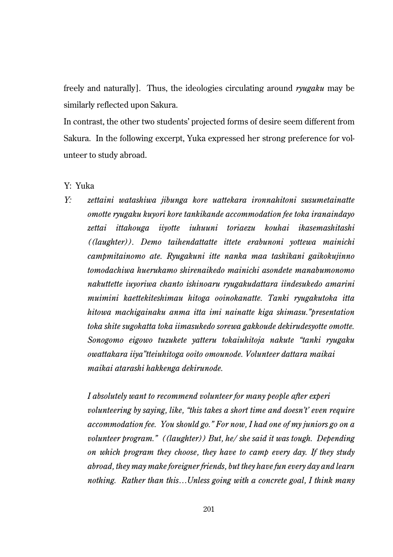freely and naturally]. Thus, the ideologies circulating around *ryugaku* may be similarly reflected upon Sakura.

In contrast, the other two students' projected forms of desire seem different from Sakura. In the following excerpt, Yuka expressed her strong preference for volunteer to study abroad.

Y: Yuka

*Y: zettaini watashiwa jibunga kore uattekara ironnahitoni susumetainatte omotte ryugaku kuyori kore tankikande accommodation fee toka iranaindayo zettai ittahouga iiyotte iuhuuni toriaezu kouhai ikasemashitashi ((laughter)). Demo taihendattatte ittete erabunoni yottewa mainichi campmitainomo ate. Ryugakuni itte nanka maa tashikani gaikokujinno tomodachiwa huerukamo shirenaikedo mainichi asondete manabumonomo nakuttette iuyoriwa chanto ishinoaru ryugakudattara iindesukedo amarini muimini kaettekiteshimau hitoga ooinokanatte. Tanki ryugakutoka itta hitowa machigainaku anma itta imi nainatte kiga shimasu."presentation toka shite sugokatta toka iimasukedo sorewa gakkoude dekirudesyotte omotte. Sonogomo eigowo tuzukete yatteru tokaiuhitoja nakute "tanki ryugaku owattakara iiya"tteiuhitoga ooito omounode. Volunteer dattara maikai maikai atarashi hakkenga dekirunode.*

*I absolutely want to recommend volunteer for many people after experi volunteering by saying, like, "this takes a short time and doesn't' even require accommodation fee. You should go." For now, I had one of my juniors go on a volunteer program." ((laughter)) But, he/ she said it was tough. Depending on which program they choose, they have to camp every day. If they study abroad, they may make foreigner friends, but they have fun every day and learn nothing. Rather than this…Unless going with a concrete goal, I think many*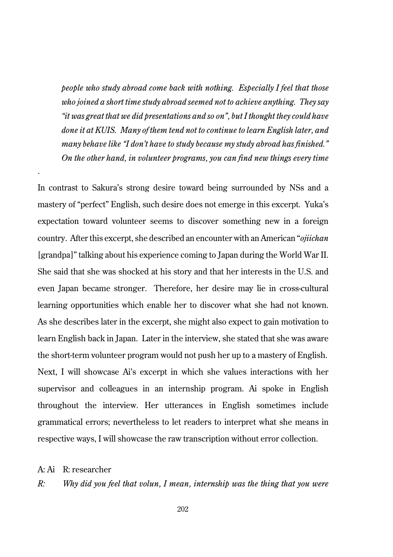*people who study abroad come back with nothing. Especially I feel that those who joined a short time study abroad seemed not to achieve anything. They say "it was great that we did presentations and so on", but I thought they could have done it at KUIS. Many of them tend not to continue to learn English later, and many behave like "I don't have to study because my study abroad has finished." On the other hand, in volunteer programs, you can find new things every time*

In contrast to Sakura's strong desire toward being surrounded by NSs and a mastery of "perfect" English, such desire does not emerge in this excerpt. Yuka's expectation toward volunteer seems to discover something new in a foreign country. After this excerpt, she described an encounter with an American "*ojiichan* [grandpa]" talking about his experience coming to Japan during the World War II. She said that she was shocked at his story and that her interests in the U.S. and even Japan became stronger. Therefore, her desire may lie in cross-cultural learning opportunities which enable her to discover what she had not known. As she describes later in the excerpt, she might also expect to gain motivation to learn English back in Japan. Later in the interview, she stated that she was aware the short-term volunteer program would not push her up to a mastery of English. Next, I will showcase Ai's excerpt in which she values interactions with her supervisor and colleagues in an internship program. Ai spoke in English throughout the interview. Her utterances in English sometimes include grammatical errors; nevertheless to let readers to interpret what she means in respective ways, I will showcase the raw transcription without error collection.

A: Ai R: researcher

*.*

*R: Why did you feel that volun, I mean, internship was the thing that you were*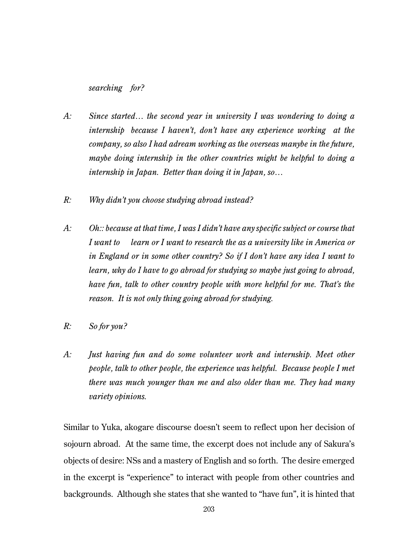*searching for?*

- *A: Since started… the second year in university I was wondering to doing a internship because I haven't, don't have any experience working at the company, so also I had adream working as the overseas manybe in the future, maybe doing internship in the other countries might be helpful to doing a internship in Japan. Better than doing it in Japan, so…*
- *R: Why didn't you choose studying abroad instead?*
- *A: Oh:: because at that time, I was I didn't have any specific subject or course that I want to learn or I want to research the as a university like in America or in England or in some other country? So if I don't have any idea I want to learn, why do I have to go abroad for studying so maybe just going to abroad, have fun, talk to other country people with more helpful for me. That's the reason. It is not only thing going abroad for studying.*
- *R: So for you?*
- *A: Just having fun and do some volunteer work and internship. Meet other people, talk to other people, the experience was helpful. Because people I met there was much younger than me and also older than me. They had many variety opinions.*

Similar to Yuka, akogare discourse doesn't seem to reflect upon her decision of sojourn abroad. At the same time, the excerpt does not include any of Sakura's objects of desire: NSs and a mastery of English and so forth. The desire emerged in the excerpt is "experience" to interact with people from other countries and backgrounds. Although she states that she wanted to "have fun", it is hinted that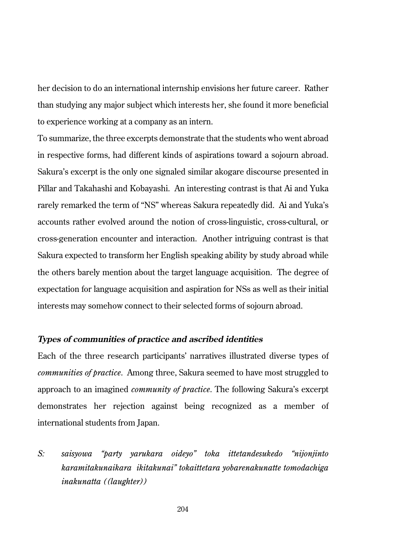her decision to do an international internship envisions her future career. Rather than studying any major subject which interests her, she found it more beneficial to experience working at a company as an intern.

To summarize, the three excerpts demonstrate that the students who went abroad in respective forms, had different kinds of aspirations toward a sojourn abroad. Sakura's excerpt is the only one signaled similar akogare discourse presented in Pillar and Takahashi and Kobayashi. An interesting contrast is that Ai and Yuka rarely remarked the term of "NS" whereas Sakura repeatedly did. Ai and Yuka's accounts rather evolved around the notion of cross-linguistic, cross-cultural, or cross-generation encounter and interaction. Another intriguing contrast is that Sakura expected to transform her English speaking ability by study abroad while the others barely mention about the target language acquisition. The degree of expectation for language acquisition and aspiration for NSs as well as their initial interests may somehow connect to their selected forms of sojourn abroad.

# **Types of communities of practice and ascribed identities**

Each of the three research participants' narratives illustrated diverse types of *communities of practice*. Among three, Sakura seemed to have most struggled to approach to an imagined *community of practice*. The following Sakura's excerpt demonstrates her rejection against being recognized as a member of international students from Japan.

*S: saisyowa "party yarukara oideyo" toka ittetandesukedo "nijonjinto karamitakunaikara ikitakunai" tokaittetara yobarenakunatte tomodachiga inakunatta ((laughter))*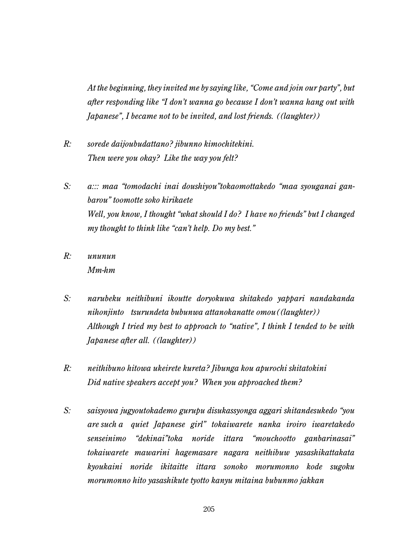*At the beginning, they invited me by saying like, "Come and join our party", but after responding like "I don't wanna go because I don't wanna hang out with Japanese", I became not to be invited, and lost friends. ((laughter))*

- *R: sorede daijoubudattano? jibunno kimochitekini. Then were you okay? Like the way you felt?*
- *S: a::: maa "tomodachi inai doushiyou"tokaomottakedo "maa syouganai ganbarou" toomotte soko kirikaete Well, you know, I thought "what should I do? I have no friends" but I changed my thought to think like "can't help. Do my best."*
- *R: ununun Mm-hm*
- *S: narubeku neithibuni ikoutte doryokuwa shitakedo yappari nandakanda nihonjinto tsurundeta bubunwa attanokanatte omou((laughter)) Although I tried my best to approach to "native", I think I tended to be with Japanese after all. ((laughter))*
- *R: neithibuno hitowa ukeirete kureta? Jibunga kou apurochi shitatokini Did native speakers accept you? When you approached them?*
- *S: saisyowa jugyoutokademo gurupu disukassyonga aggari shitandesukedo "you are such a quiet Japanese girl" tokaiwarete nanka iroiro iwaretakedo senseinimo "dekinai"toka noride ittara "mouchootto ganbarinasai" tokaiwarete mawarini hagemasare nagara neithibuw yasashikattakata kyoukaini noride ikitaitte ittara sonoko morumonno kode sugoku morumonno hito yasashikute tyotto kanyu mitaina bubunmo jakkan*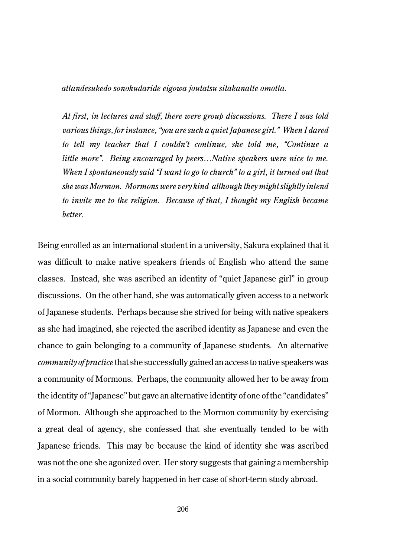*attandesukedo sonokudaride eigowa joutatsu sitakanatte omotta.*

*At first, in lectures and staff, there were group discussions. There I was told various things, for instance, "you are such a quiet Japanese girl." When I dared to tell my teacher that I couldn't continue, she told me, "Continue a little more". Being encouraged by peers…Native speakers were nice to me. When I spontaneously said "I want to go to church" to a girl, it turned out that she was Mormon. Mormons were very kind although they might slightly intend to invite me to the religion. Because of that, I thought my English became better.*

Being enrolled as an international student in a university, Sakura explained that it was difficult to make native speakers friends of English who attend the same classes. Instead, she was ascribed an identity of "quiet Japanese girl" in group discussions. On the other hand, she was automatically given access to a network of Japanese students. Perhaps because she strived for being with native speakers as she had imagined, she rejected the ascribed identity as Japanese and even the chance to gain belonging to a community of Japanese students. An alternative *community of practice* that she successfully gained an access to native speakers was a community of Mormons. Perhaps, the community allowed her to be away from the identity of "Japanese" but gave an alternative identity of one of the "candidates" of Mormon. Although she approached to the Mormon community by exercising a great deal of agency, she confessed that she eventually tended to be with Japanese friends. This may be because the kind of identity she was ascribed was not the one she agonized over. Her story suggests that gaining a membership in a social community barely happened in her case of short-term study abroad.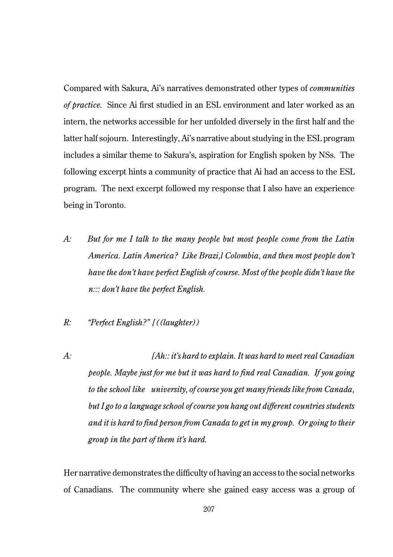Compared with Sakura, Ai's narratives demonstrated other types of *communities of practice.* Since Ai first studied in an ESL environment and later worked as an intern, the networks accessible for her unfolded diversely in the first half and the latter half sojourn. Interestingly, Ai's narrative about studying in the ESL program includes a similar theme to Sakura's, aspiration for English spoken by NSs. The following excerpt hints a community of practice that Ai had an access to the ESL program. The next excerpt followed my response that I also have an experience being in Toronto.

- *A: But for me I talk to the many people but most people come from the Latin America. Latin America? Like Brazi,l Colombia, and then most people don't have the don't have perfect English of course. Most of the people didn't have the n::: don't have the perfect English.*
- *R: "Perfect English?" [((laughter))*
- *A: [Ah:: it's hard to explain. It was hard to meet real Canadian people. Maybe just for me but it was hard to find real Canadian. If you going to the school like university, of course you get many friends like from Canada, but I go to a language school of course you hang out different countries students and it is hard to find person from Canada to get in my group. Or going to their group in the part of them it's hard.*

Her narrative demonstrates the difficulty of having an access to the social networks of Canadians. The community where she gained easy access was a group of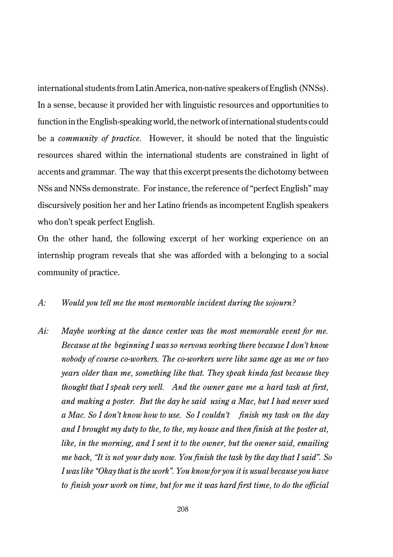international students from Latin America, non-native speakers of English (NNSs). In a sense, because it provided her with linguistic resources and opportunities to function in the English-speaking world, the network of international students could be a *community of practice*. However, it should be noted that the linguistic resources shared within the international students are constrained in light of accents and grammar. The way that this excerpt presents the dichotomy between NSs and NNSs demonstrate. For instance, the reference of "perfect English" may discursively position her and her Latino friends as incompetent English speakers who don't speak perfect English.

On the other hand, the following excerpt of her working experience on an internship program reveals that she was afforded with a belonging to a social community of practice.

# *A: Would you tell me the most memorable incident during the sojourn?*

*Ai: Maybe working at the dance center was the most memorable event for me. Because at the beginning I was so nervous working there because I don't know nobody of course co-workers. The co-workers were like same age as me or two years older than me, something like that. They speak kinda fast because they thought that I speak very well. And the owner gave me a hard task at first, and making a poster. But the day he said using a Mac, but I had never used a Mac. So I don't know how to use. So I couldn't finish my task on the day and I brought my duty to the, to the, my house and then finish at the poster at, like, in the morning, and I sent it to the owner, but the owner said, emailing me back, "It is not your duty now. You finish the task by the day that I said". So I was like "Okay that is the work". You know for you it is usual because you have to finish your work on time, but for me it was hard first time, to do the official*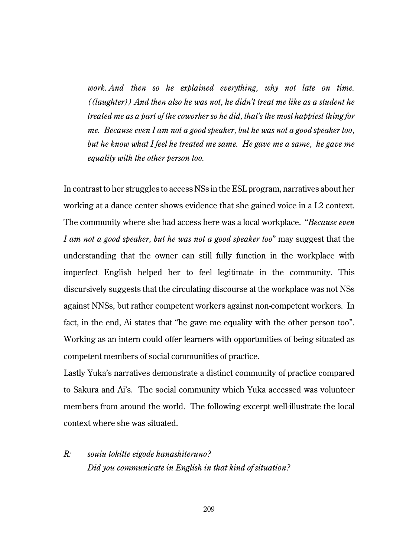*work. And then so he explained everything, why not late on time. ((laughter)) And then also he was not, he didn't treat me like as a student he treated me as a part of the coworker so he did, that's the most happiest thing for me. Because even I am not a good speaker, but he was not a good speaker too, but he know what I feel he treated me same. He gave me a same, he gave me equality with the other person too.* 

In contrast to her struggles to access NSs in the ESL program, narratives about her working at a dance center shows evidence that she gained voice in a L2 context. The community where she had access here was a local workplace. "*Because even I am not a good speaker, but he was not a good speaker too*" may suggest that the understanding that the owner can still fully function in the workplace with imperfect English helped her to feel legitimate in the community. This discursively suggests that the circulating discourse at the workplace was not NSs against NNSs, but rather competent workers against non-competent workers. In fact, in the end, Ai states that "he gave me equality with the other person too". Working as an intern could offer learners with opportunities of being situated as competent members of social communities of practice.

Lastly Yuka's narratives demonstrate a distinct community of practice compared to Sakura and Ai's. The social community which Yuka accessed was volunteer members from around the world. The following excerpt well-illustrate the local context where she was situated.

# *R: souiu tokitte eigode hanashiteruno? Did you communicate in English in that kind of situation?*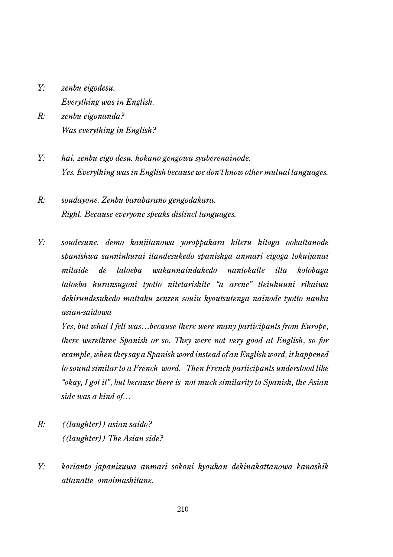- *Y: zenbu eigodesu. Everything was in English.*
- *R: zenbu eigonanda? Was everything in English?*
- *Y: hai. zenbu eigo desu. hokano gengowa syaberenainode. Yes. Everything was in English because we don't know other mutual languages.*
- *R: soudayone. Zenbu barabarano gengodakara. Right. Because everyone speaks distinct languages.*
- *Y: soudesune. demo kanjitanowa yoroppakara kiteru hitoga ookattanode spanishwa sanninkurai itandesukedo spanishga anmari eigoga tokuijanai mitaide de tatoeba wakannaindakedo nantokatte itta kotobaga tatoeba huransugoni tyotto nitetarishite "a arene" tteiuhuuni rikaiwa dekirundesukedo mattaku zenzen souiu kyoutsutenga nainode tyotto nanka asian-saidowa*

*Yes, but what I felt was…because there were many participants from Europe, there werethree Spanish or so. They were not very good at English, so for example, when they say a Spanish word instead of an English word, it happened to sound similar to a French word. Then French participants understood like "okay, I got it", but because there is not much similarity to Spanish, the Asian side was a kind of…*

- *R: ((laughter)) asian saido? ((laughter)) The Asian side?*
- *Y: korianto japanizuwa anmari sokoni kyoukan dekinakattanowa kanashik attanatte omoimashitane.*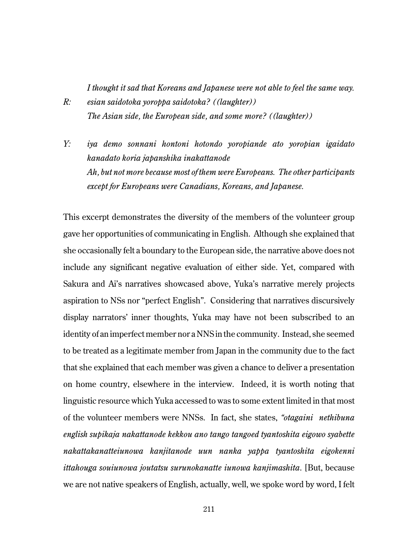*I thought it sad that Koreans and Japanese were not able to feel the same way. R: esian saidotoka yoroppa saidotoka? ((laughter)) The Asian side, the European side, and some more? ((laughter))*

*Y: iya demo sonnani hontoni hotondo yoropiande ato yoropian igaidato kanadato koria japanshika inakattanode Ah, but not more because most of them were Europeans. The other participants except for Europeans were Canadians, Koreans, and Japanese.*

This excerpt demonstrates the diversity of the members of the volunteer group gave her opportunities of communicating in English. Although she explained that she occasionally felt a boundary to the European side, the narrative above does not include any significant negative evaluation of either side. Yet, compared with Sakura and Ai's narratives showcased above, Yuka's narrative merely projects aspiration to NSs nor "perfect English". Considering that narratives discursively display narrators' inner thoughts, Yuka may have not been subscribed to an identity of an imperfect member nor a NNS in the community. Instead, she seemed to be treated as a legitimate member from Japan in the community due to the fact that she explained that each member was given a chance to deliver a presentation on home country, elsewhere in the interview. Indeed, it is worth noting that linguistic resource which Yuka accessed to was to some extent limited in that most of the volunteer members were NNSs. In fact, she states, *"otagaini nethibuna english supikaja nakattanode kekkou ano tango tangoed tyantoshita eigowo syabette nakattakanatteiunowa kanjitanode uun nanka yappa tyantoshita eigokenni ittahouga souiunowa joutatsu surunokanatte iunowa kanjimashita*. [But, because we are not native speakers of English, actually, well, we spoke word by word, I felt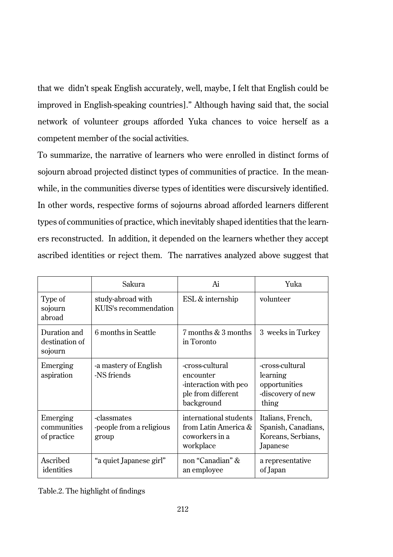that we didn't speak English accurately, well, maybe, I felt that English could be improved in English-speaking countries]." Although having said that, the social network of volunteer groups afforded Yuka chances to voice herself as a competent member of the social activities.

To summarize, the narrative of learners who were enrolled in distinct forms of sojourn abroad projected distinct types of communities of practice. In the meanwhile, in the communities diverse types of identities were discursively identified. In other words, respective forms of sojourns abroad afforded learners different types of communities of practice, which inevitably shaped identities that the learners reconstructed. In addition, it depended on the learners whether they accept ascribed identities or reject them. The narratives analyzed above suggest that

|                                           | Sakura                                           | Ai                                                                                         | Yuka                                                                       |
|-------------------------------------------|--------------------------------------------------|--------------------------------------------------------------------------------------------|----------------------------------------------------------------------------|
| Type of<br>sojourn<br>abroad              | study-abroad with<br>KUIS's recommendation       | ESL & internship                                                                           | volunteer                                                                  |
| Duration and<br>destination of<br>sojourn | 6 months in Seattle                              | 7 months & 3 months<br>in Toronto                                                          | 3 weeks in Turkey                                                          |
| Emerging<br>aspiration                    | a mastery of English<br>-NS friends              | -cross-cultural<br>encounter<br>-interaction with peo-<br>ple from different<br>background | -cross-cultural<br>learning<br>opportunities<br>-discovery of new<br>thing |
| Emerging<br>communities<br>of practice    | -classmates<br>-people from a religious<br>group | international students<br>from Latin America $\&$<br>coworkers in a<br>workplace           | Italians, French,<br>Spanish, Canadians,<br>Koreans, Serbians,<br>Japanese |
| Ascribed<br>identities                    | "a quiet Japanese girl"                          | non "Canadian" &<br>an employee                                                            | a representative<br>of Japan                                               |

Table.2. The highlight of findings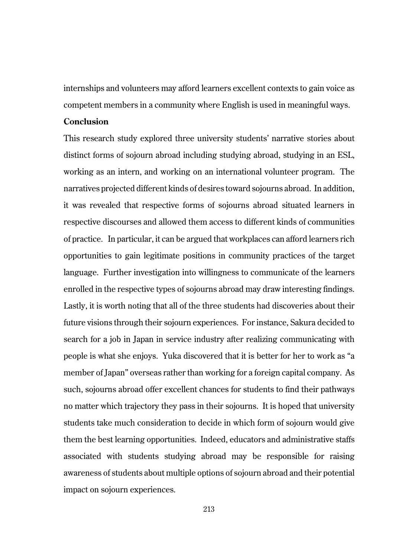internships and volunteers may afford learners excellent contexts to gain voice as competent members in a community where English is used in meaningful ways.

# **Conclusion**

This research study explored three university students' narrative stories about distinct forms of sojourn abroad including studying abroad, studying in an ESL, working as an intern, and working on an international volunteer program. The narratives projected different kinds of desires toward sojourns abroad. In addition, it was revealed that respective forms of sojourns abroad situated learners in respective discourses and allowed them access to different kinds of communities of practice. In particular, it can be argued that workplaces can afford learners rich opportunities to gain legitimate positions in community practices of the target language. Further investigation into willingness to communicate of the learners enrolled in the respective types of sojourns abroad may draw interesting findings. Lastly, it is worth noting that all of the three students had discoveries about their future visions through their sojourn experiences. For instance, Sakura decided to search for a job in Japan in service industry after realizing communicating with people is what she enjoys. Yuka discovered that it is better for her to work as "a member of Japan" overseas rather than working for a foreign capital company. As such, sojourns abroad offer excellent chances for students to find their pathways no matter which trajectory they pass in their sojourns. It is hoped that university students take much consideration to decide in which form of sojourn would give them the best learning opportunities. Indeed, educators and administrative staffs associated with students studying abroad may be responsible for raising awareness of students about multiple options of sojourn abroad and their potential impact on sojourn experiences.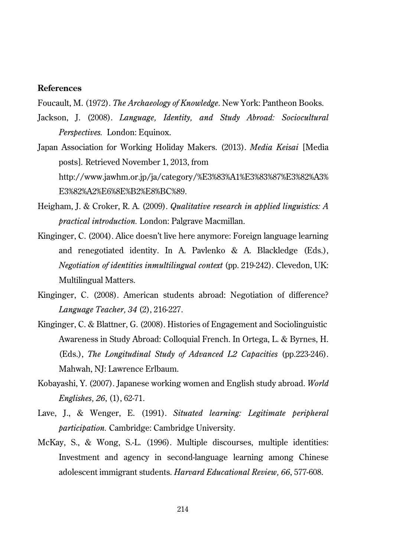## **References**

Foucault, M. (1972). *The Archaeology of Knowledge*. New York: Pantheon Books.

- Jackson, J. (2008). *Language, Identity, and Study Abroad: Sociocultural Perspectives.* London: Equinox.
- Japan Association for Working Holiday Makers. (2013). *Media Keisai* [Media posts]*.* Retrieved November 1, 2013, from http://www.jawhm.or.jp/ja/category/%E3%83%A1%E3%83%87%E3%82%A3% E3%82%A2%E6%8E%B2%E8%BC%89.
- Heigham, J. & Croker, R. A. (2009). *Qualitative research in applied linguistics: A practical introduction.* London: Palgrave Macmillan.
- Kinginger, C. (2004). Alice doesn't live here anymore: Foreign language learning and renegotiated identity. In A. Pavlenko & A. Blackledge (Eds.), *Negotiation of identities inmultilingual context* (pp. 219-242). Clevedon, UK: Multilingual Matters.
- Kinginger, C. (2008). American students abroad: Negotiation of difference? *Language Teacher, 34* (2), 216-227.
- Kinginger, C. & Blattner, G. (2008). Histories of Engagement and Sociolinguistic Awareness in Study Abroad: Colloquial French. In Ortega, L. & Byrnes, H. (Eds.), *The Longitudinal Study of Advanced L2 Capacities* (pp.223-246). Mahwah, NJ: Lawrence Erlbaum.
- Kobayashi, Y. (2007). Japanese working women and English study abroad. *World Englishes, 26*, (1), 62-71.
- Lave, J., & Wenger, E. (1991). *Situated learning: Legitimate peripheral participation.* Cambridge: Cambridge University.
- McKay, S., & Wong, S.-L. (1996). Multiple discourses, multiple identities: Investment and agency in second-language learning among Chinese adolescent immigrant students. *Harvard Educational Review, 66*, 577-608.